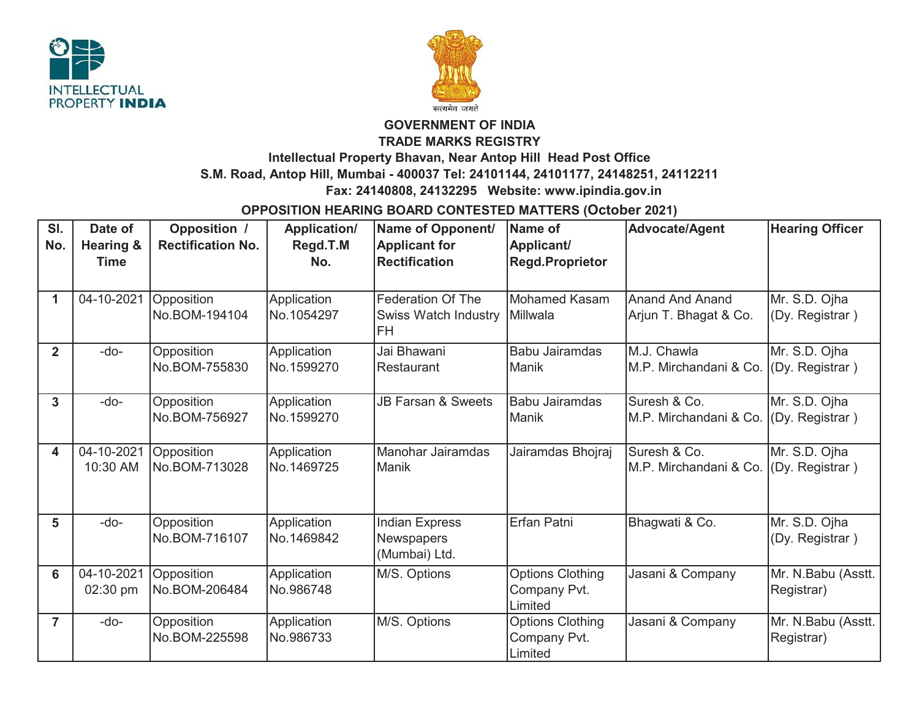



## **GOVERNMENT OF INDIA**

**TRADE MARKS REGISTRY**

## **Intellectual Property Bhavan, Near Antop Hill Head Post Office**

**S.M. Road, Antop Hill, Mumbai - 400037 Tel: 24101144, 24101177, 24148251, 24112211**

 **Fax: 24140808, 24132295 Website: www.ipindia.gov.in**

## **OPPOSITION HEARING BOARD CONTESTED MATTERS (October 2021)**

| SI.<br>No.   | Date of<br><b>Hearing &amp;</b><br><b>Time</b> | <b>Opposition /</b><br><b>Rectification No.</b> | <b>Application/</b><br>Regd.T.M<br>No. | Name of Opponent/<br><b>Applicant for</b><br><b>Rectification</b>    | Name of<br>Applicant/<br><b>Regd.Proprietor</b>    | <b>Advocate/Agent</b>                           | <b>Hearing Officer</b>           |
|--------------|------------------------------------------------|-------------------------------------------------|----------------------------------------|----------------------------------------------------------------------|----------------------------------------------------|-------------------------------------------------|----------------------------------|
| 1            | 04-10-2021                                     | Opposition<br>No.BOM-194104                     | Application<br>No.1054297              | <b>Federation Of The</b><br><b>Swiss Watch Industry</b><br><b>FH</b> | <b>Mohamed Kasam</b><br>Millwala                   | <b>Anand And Anand</b><br>Arjun T. Bhagat & Co. | Mr. S.D. Ojha<br>(Dy. Registrar) |
| $\mathbf{2}$ | $-do-$                                         | Opposition<br>No.BOM-755830                     | Application<br>No.1599270              | Jai Bhawani<br>Restaurant                                            | Babu Jairamdas<br>Manik                            | M.J. Chawla<br>M.P. Mirchandani & Co.           | Mr. S.D. Ojha<br>(Dy. Registrar) |
| 3            | -do-                                           | Opposition<br>No.BOM-756927                     | Application<br>No.1599270              | <b>JB Farsan &amp; Sweets</b>                                        | Babu Jairamdas<br>Manik                            | Suresh & Co.<br>M.P. Mirchandani & Co.          | Mr. S.D. Ojha<br>(Dy. Registrar) |
| 4            | 04-10-2021<br>10:30 AM                         | Opposition<br>No.BOM-713028                     | Application<br>No.1469725              | Manohar Jairamdas<br>Manik                                           | Jairamdas Bhojraj                                  | Suresh & Co.<br>M.P. Mirchandani & Co.          | Mr. S.D. Ojha<br>(Dy. Registrar) |
| 5            | $-do-$                                         | Opposition<br>No.BOM-716107                     | Application<br>No.1469842              | <b>Indian Express</b><br>Newspapers<br>(Mumbai) Ltd.                 | Erfan Patni                                        | Bhagwati & Co.                                  | Mr. S.D. Ojha<br>(Dy. Registrar) |
| 6            | 04-10-2021<br>02:30 pm                         | Opposition<br>No.BOM-206484                     | Application<br>No.986748               | M/S. Options                                                         | <b>Options Clothing</b><br>Company Pvt.<br>Limited | Jasani & Company                                | Mr. N.Babu (Asstt.<br>Registrar) |
| 7            | $-do-$                                         | Opposition<br>No.BOM-225598                     | Application<br>No.986733               | M/S. Options                                                         | Options Clothing<br>Company Pvt.<br>Limited        | Jasani & Company                                | Mr. N.Babu (Asstt.<br>Registrar) |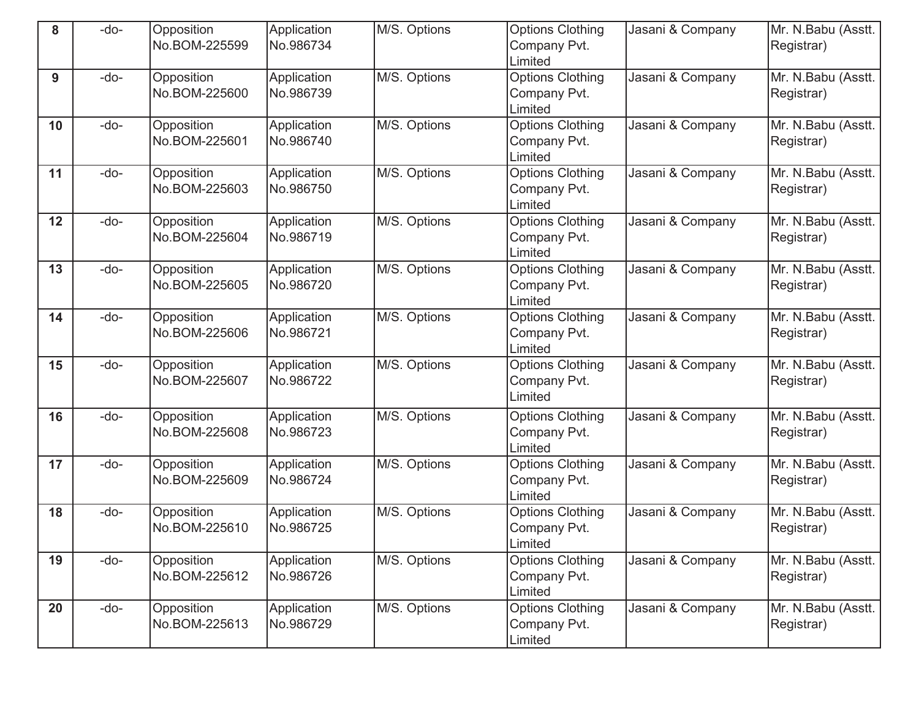| 8  | -do- | Opposition<br>No.BOM-225599 | Application<br>No.986734 | M/S. Options | <b>Options Clothing</b><br>Company Pvt.                       | Jasani & Company | Mr. N.Babu (Asstt.<br>Registrar) |
|----|------|-----------------------------|--------------------------|--------------|---------------------------------------------------------------|------------------|----------------------------------|
| 9  | -do- | Opposition<br>No.BOM-225600 | Application<br>No.986739 | M/S. Options | Limited<br><b>Options Clothing</b><br>Company Pvt.<br>Limited | Jasani & Company | Mr. N.Babu (Asstt.<br>Registrar) |
| 10 | -do- | Opposition<br>No.BOM-225601 | Application<br>No.986740 | M/S. Options | <b>Options Clothing</b><br>Company Pvt.<br>Limited            | Jasani & Company | Mr. N.Babu (Asstt.<br>Registrar) |
| 11 | -do- | Opposition<br>No.BOM-225603 | Application<br>No.986750 | M/S. Options | <b>Options Clothing</b><br>Company Pvt.<br>Limited            | Jasani & Company | Mr. N.Babu (Asstt.<br>Registrar) |
| 12 | -do- | Opposition<br>No.BOM-225604 | Application<br>No.986719 | M/S. Options | <b>Options Clothing</b><br>Company Pvt.<br>Limited            | Jasani & Company | Mr. N.Babu (Asstt.<br>Registrar) |
| 13 | -do- | Opposition<br>No.BOM-225605 | Application<br>No.986720 | M/S. Options | Options Clothing<br>Company Pvt.<br>Limited                   | Jasani & Company | Mr. N.Babu (Asstt.<br>Registrar) |
| 14 | -do- | Opposition<br>No.BOM-225606 | Application<br>No.986721 | M/S. Options | <b>Options Clothing</b><br>Company Pvt.<br>Limited            | Jasani & Company | Mr. N.Babu (Asstt.<br>Registrar) |
| 15 | -do- | Opposition<br>No.BOM-225607 | Application<br>No.986722 | M/S. Options | <b>Options Clothing</b><br>Company Pvt.<br>Limited            | Jasani & Company | Mr. N.Babu (Asstt.<br>Registrar) |
| 16 | -do- | Opposition<br>No.BOM-225608 | Application<br>No.986723 | M/S. Options | <b>Options Clothing</b><br>Company Pvt.<br>Limited            | Jasani & Company | Mr. N.Babu (Asstt.<br>Registrar) |
| 17 | -do- | Opposition<br>No.BOM-225609 | Application<br>No.986724 | M/S. Options | <b>Options Clothing</b><br>Company Pvt.<br>Limited            | Jasani & Company | Mr. N.Babu (Asstt.<br>Registrar) |
| 18 | -do- | Opposition<br>No.BOM-225610 | Application<br>No.986725 | M/S. Options | <b>Options Clothing</b><br>Company Pvt.<br>Limited            | Jasani & Company | Mr. N.Babu (Asstt.<br>Registrar) |
| 19 | -do- | Opposition<br>No.BOM-225612 | Application<br>No.986726 | M/S. Options | <b>Options Clothing</b><br>Company Pvt.<br>Limited            | Jasani & Company | Mr. N.Babu (Asstt.<br>Registrar) |
| 20 | -do- | Opposition<br>No.BOM-225613 | Application<br>No.986729 | M/S. Options | <b>Options Clothing</b><br>Company Pvt.<br>Limited            | Jasani & Company | Mr. N.Babu (Asstt.<br>Registrar) |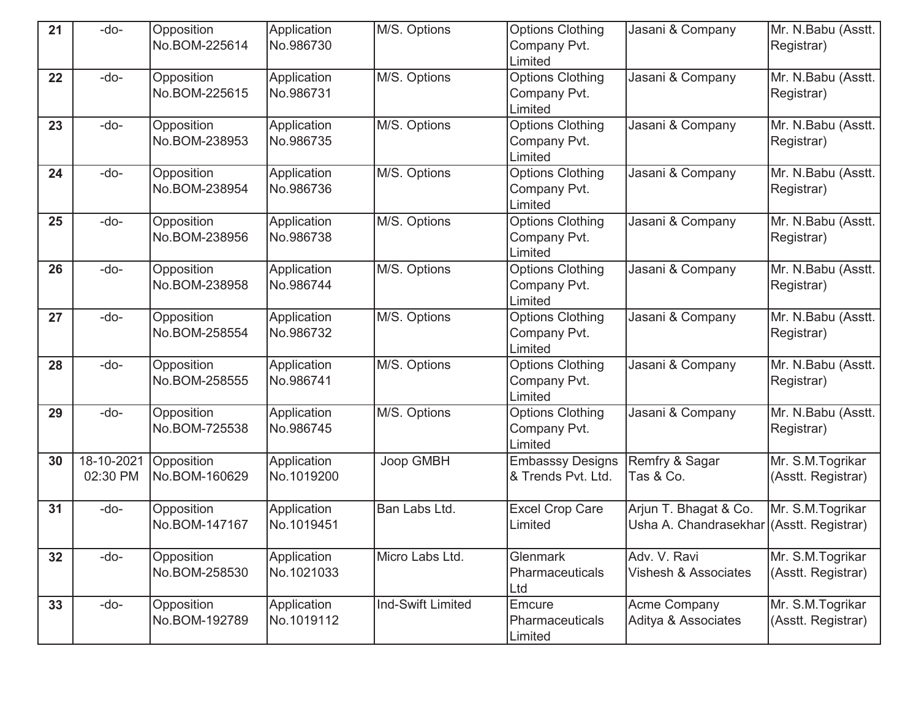| 21 | -do-                   | Opposition<br>No.BOM-225614 | Application<br>No.986730  | M/S. Options             | <b>Options Clothing</b><br>Company Pvt.            | Jasani & Company                                                  | Mr. N.Babu (Asstt.<br>Registrar)       |
|----|------------------------|-----------------------------|---------------------------|--------------------------|----------------------------------------------------|-------------------------------------------------------------------|----------------------------------------|
|    |                        |                             |                           |                          | Limited                                            |                                                                   |                                        |
| 22 | -do-                   | Opposition<br>No.BOM-225615 | Application<br>No.986731  | M/S. Options             | <b>Options Clothing</b><br>Company Pvt.<br>Limited | Jasani & Company                                                  | Mr. N.Babu (Asstt.<br>Registrar)       |
| 23 | -do-                   | Opposition<br>No.BOM-238953 | Application<br>No.986735  | M/S. Options             | <b>Options Clothing</b><br>Company Pvt.<br>Limited | Jasani & Company                                                  | Mr. N.Babu (Asstt.<br>Registrar)       |
| 24 | -do-                   | Opposition<br>No.BOM-238954 | Application<br>No.986736  | M/S. Options             | <b>Options Clothing</b><br>Company Pvt.<br>Limited | Jasani & Company                                                  | Mr. N.Babu (Asstt.<br>Registrar)       |
| 25 | -do-                   | Opposition<br>No.BOM-238956 | Application<br>No.986738  | M/S. Options             | <b>Options Clothing</b><br>Company Pvt.<br>Limited | Jasani & Company                                                  | Mr. N.Babu (Asstt.<br>Registrar)       |
| 26 | -do-                   | Opposition<br>No.BOM-238958 | Application<br>No.986744  | M/S. Options             | <b>Options Clothing</b><br>Company Pvt.<br>Limited | Jasani & Company                                                  | Mr. N.Babu (Asstt.<br>Registrar)       |
| 27 | -do-                   | Opposition<br>No.BOM-258554 | Application<br>No.986732  | M/S. Options             | <b>Options Clothing</b><br>Company Pvt.<br>Limited | Jasani & Company                                                  | Mr. N.Babu (Asstt.<br>Registrar)       |
| 28 | -do-                   | Opposition<br>No.BOM-258555 | Application<br>No.986741  | M/S. Options             | <b>Options Clothing</b><br>Company Pvt.<br>Limited | Jasani & Company                                                  | Mr. N.Babu (Asstt.<br>Registrar)       |
| 29 | -do-                   | Opposition<br>No.BOM-725538 | Application<br>No.986745  | M/S. Options             | <b>Options Clothing</b><br>Company Pvt.<br>Limited | Jasani & Company                                                  | Mr. N.Babu (Asstt.<br>Registrar)       |
| 30 | 18-10-2021<br>02:30 PM | Opposition<br>No.BOM-160629 | Application<br>No.1019200 | Joop GMBH                | <b>Embasssy Designs</b><br>& Trends Pvt. Ltd.      | Remfry & Sagar<br>Tas & Co.                                       | Mr. S.M.Togrikar<br>(Asstt. Registrar) |
| 31 | -do-                   | Opposition<br>No.BOM-147167 | Application<br>No.1019451 | Ban Labs Ltd.            | <b>Excel Crop Care</b><br>Limited                  | Arjun T. Bhagat & Co.<br>Usha A. Chandrasekhar (Asstt. Registrar) | Mr. S.M.Togrikar                       |
| 32 | -do-                   | Opposition<br>No.BOM-258530 | Application<br>No.1021033 | Micro Labs Ltd.          | Glenmark<br>Pharmaceuticals<br>Ltd                 | Adv. V. Ravi<br>Vishesh & Associates                              | Mr. S.M.Togrikar<br>(Asstt. Registrar) |
| 33 | -do-                   | Opposition<br>No.BOM-192789 | Application<br>No.1019112 | <b>Ind-Swift Limited</b> | Emcure<br>Pharmaceuticals<br>Limited               | <b>Acme Company</b><br>Aditya & Associates                        | Mr. S.M.Togrikar<br>(Asstt. Registrar) |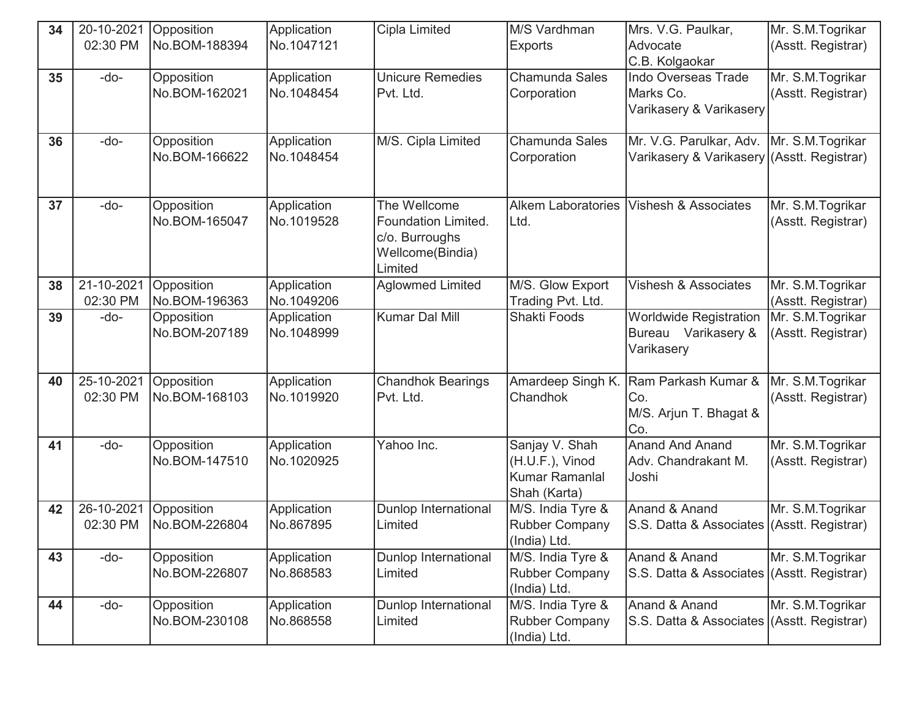| 34 | 20-10-2021 | Opposition                  | Application               | Cipla Limited            | M/S Vardhman              | Mrs. V.G. Paulkar,                          | Mr. S.M.Togrikar   |
|----|------------|-----------------------------|---------------------------|--------------------------|---------------------------|---------------------------------------------|--------------------|
|    | 02:30 PM   | No.BOM-188394               | No.1047121                |                          | <b>Exports</b>            | Advocate                                    | (Asstt. Registrar) |
|    |            |                             |                           |                          |                           | C.B. Kolgaokar                              |                    |
| 35 | -do-       | Opposition                  | Application               | <b>Unicure Remedies</b>  | <b>Chamunda Sales</b>     | <b>Indo Overseas Trade</b>                  | Mr. S.M.Togrikar   |
|    |            | No.BOM-162021               | No.1048454                | Pvt. Ltd.                | Corporation               | Marks Co.                                   | (Asstt. Registrar) |
|    |            |                             |                           |                          |                           | Varikasery & Varikasery                     |                    |
|    |            |                             |                           |                          |                           |                                             |                    |
| 36 | -do-       | Opposition<br>No.BOM-166622 | Application<br>No.1048454 | M/S. Cipla Limited       | Chamunda Sales            | Mr. V.G. Parulkar, Adv.   Mr. S.M. Togrikar |                    |
|    |            |                             |                           |                          | Corporation               | Varikasery & Varikasery (Asstt. Registrar)  |                    |
|    |            |                             |                           |                          |                           |                                             |                    |
| 37 | -do-       | Opposition                  | Application               | The Wellcome             | <b>Alkem Laboratories</b> | <b>Vishesh &amp; Associates</b>             | Mr. S.M.Togrikar   |
|    |            | No.BOM-165047               | No.1019528                | Foundation Limited.      | Ltd.                      |                                             | (Asstt. Registrar) |
|    |            |                             |                           | c/o. Burroughs           |                           |                                             |                    |
|    |            |                             |                           | Wellcome(Bindia)         |                           |                                             |                    |
|    |            |                             |                           | Limited                  |                           |                                             |                    |
| 38 | 21-10-2021 | Opposition                  | Application               | <b>Aglowmed Limited</b>  | M/S. Glow Export          | <b>Vishesh &amp; Associates</b>             | Mr. S.M.Togrikar   |
|    | 02:30 PM   | No.BOM-196363               | No.1049206                |                          | Trading Pvt. Ltd.         |                                             | (Asstt. Registrar) |
| 39 | -do-       | Opposition                  | Application               | Kumar Dal Mill           | <b>Shakti Foods</b>       | <b>Worldwide Registration</b>               | Mr. S.M. Togrikar  |
|    |            | No.BOM-207189               | No.1048999                |                          |                           | Bureau Varikasery &                         | (Asstt. Registrar) |
|    |            |                             |                           |                          |                           | Varikasery                                  |                    |
|    |            |                             |                           |                          |                           |                                             |                    |
| 40 | 25-10-2021 | Opposition                  | Application               | <b>Chandhok Bearings</b> | Amardeep Singh K.         | Ram Parkash Kumar &                         | Mr. S.M.Togrikar   |
|    | 02:30 PM   | No.BOM-168103               | No.1019920                | Pvt. Ltd.                | Chandhok                  | Co.                                         | (Asstt. Registrar) |
|    |            |                             |                           |                          |                           | M/S. Arjun T. Bhagat &<br>Co.               |                    |
| 41 | -do-       | Opposition                  | Application               | Yahoo Inc.               | Sanjay V. Shah            | <b>Anand And Anand</b>                      | Mr. S.M. Togrikar  |
|    |            | No.BOM-147510               | No.1020925                |                          | (H.U.F.), Vinod           | Adv. Chandrakant M.                         | (Asstt. Registrar) |
|    |            |                             |                           |                          | <b>Kumar Ramanlal</b>     | Joshi                                       |                    |
|    |            |                             |                           |                          | Shah (Karta)              |                                             |                    |
| 42 | 26-10-2021 | Opposition                  | Application               | Dunlop International     | M/S. India Tyre &         | Anand & Anand                               | Mr. S.M.Togrikar   |
|    | 02:30 PM   | No.BOM-226804               | No.867895                 | Limited                  | <b>Rubber Company</b>     | S.S. Datta & Associates (Asstt. Registrar)  |                    |
|    |            |                             |                           |                          | (India) Ltd.              |                                             |                    |
| 43 | -do-       | Opposition                  | Application               | Dunlop International     | M/S. India Tyre &         | Anand & Anand                               | Mr. S.M.Togrikar   |
|    |            | No.BOM-226807               | No.868583                 | Limited                  | <b>Rubber Company</b>     | S.S. Datta & Associates (Asstt. Registrar)  |                    |
|    |            |                             |                           |                          | (India) Ltd.              |                                             |                    |
| 44 | -do-       | Opposition                  | Application               | Dunlop International     | M/S. India Tyre &         | Anand & Anand                               | Mr. S.M.Togrikar   |
|    |            | No.BOM-230108               | No.868558                 | Limited                  | <b>Rubber Company</b>     | S.S. Datta & Associates (Asstt. Registrar)  |                    |
|    |            |                             |                           |                          | (India) Ltd.              |                                             |                    |